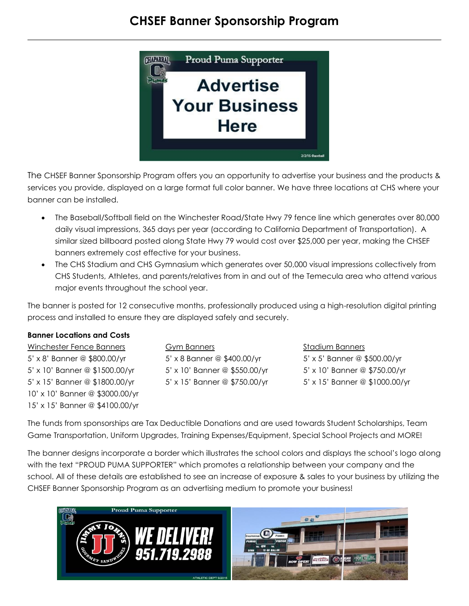## **CHSEF Banner Sponsorship Program**



The CHSEF Banner Sponsorship Program offers you an opportunity to advertise your business and the products & services you provide, displayed on a large format full color banner. We have three locations at CHS where your banner can be installed.

- The Baseball/Softball field on the Winchester Road/State Hwy 79 fence line which generates over 80,000 daily visual impressions, 365 days per year (according to California Department of Transportation). A similar sized billboard posted along State Hwy 79 would cost over \$25,000 per year, making the CHSEF banners extremely cost effective for your business.
- The CHS Stadium and CHS Gymnasium which generates over 50,000 visual impressions collectively from CHS Students, Athletes, and parents/relatives from in and out of the Temecula area who attend various major events throughout the school year.

The banner is posted for 12 consecutive months, professionally produced using a high-resolution digital printing process and installed to ensure they are displayed safely and securely.

## **Banner Locations and Costs**

Winchester Fence Banners Gym Banners Stadium Banners 5' x 8' Banner @ \$800.00/yr 5' x 8 Banner @ \$400.00/yr 5' x 5' Banner @ \$500.00/yr 5' x 10' Banner @ \$1500.00/yr 5' x 10' Banner @ \$550.00/yr 5' x 10' Banner @ \$750.00/yr 5' x 15' Banner @ \$1800.00/yr 5' x 15' Banner @ \$750.00/yr 5' x 15' Banner @ \$1000.00/yr 10' x 10' Banner @ \$3000.00/yr 15' x 15' Banner @ \$4100.00/yr

The funds from sponsorships are Tax Deductible Donations and are used towards Student Scholarships, Team Game Transportation, Uniform Upgrades, Training Expenses/Equipment, Special School Projects and MORE!

The banner designs incorporate a border which illustrates the school colors and displays the school's logo along with the text "PROUD PUMA SUPPORTER" which promotes a relationship between your company and the school. All of these details are established to see an increase of exposure & sales to your business by utilizing the CHSEF Banner Sponsorship Program as an advertising medium to promote your business!

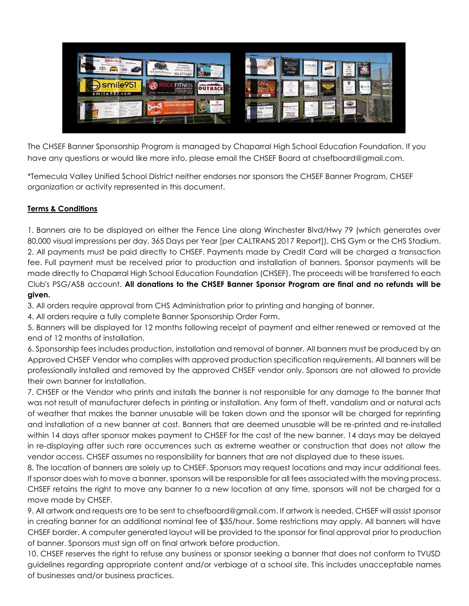

The CHSEF Banner Sponsorship Program is managed by Chaparral High School Education Foundation. If you have any questions or would like more info, please email the CHSEF Board at chsefboard@gmail.com.

\*Temecula Valley Unified School District neither endorses nor sponsors the CHSEF Banner Program, CHSEF organization or activity represented in this document.

## **Terms & Conditions**

1. Banners are to be displayed on either the Fence Line along Winchester Blvd/Hwy 79 (which generates over 80,000 visual impressions per day, 365 Days per Year [per CALTRANS 2017 Report]), CHS Gym or the CHS Stadium. 2. All payments must be paid directly to CHSEF. Payments made by Credit Card will be charged a transaction fee. Full payment must be received prior to production and installation of banners. Sponsor payments will be made directly to Chaparral High School Education Foundation (CHSEF). The proceeds will be transferred to each Club's PSG/ASB account. **All donations to the CHSEF Banner Sponsor Program are final and no refunds will be given.** 

3. All orders require approval from CHS Administration prior to printing and hanging of banner.

4. All orders require a fully complete Banner Sponsorship Order Form.

5. Banners will be displayed for 12 months following receipt of payment and either renewed or removed at the end of 12 months of installation.

6. Sponsorship fees includes production, installation and removal of banner. All banners must be produced by an Approved CHSEF Vendor who complies with approved production specification requirements. All banners will be professionally installed and removed by the approved CHSEF vendor only. Sponsors are not allowed to provide their own banner for installation.

7. CHSEF or the Vendor who prints and installs the banner is not responsible for any damage to the banner that was not result of manufacturer defects in printing or installation. Any form of theft, vandalism and or natural acts of weather that makes the banner unusable will be taken down and the sponsor will be charged for reprinting and installation of a new banner at cost. Banners that are deemed unusable will be re-printed and re-installed within 14 days after sponsor makes payment to CHSEF for the cost of the new banner. 14 days may be delayed in re-displaying after such rare occurrences such as extreme weather or construction that does not allow the vendor access. CHSEF assumes no responsibility for banners that are not displayed due to these issues.

8. The location of banners are solely up to CHSEF. Sponsors may request locations and may incur additional fees. If sponsor does wish to move a banner, sponsors will be responsible for all fees associated with the moving process. CHSEF retains the right to move any banner to a new location at any time, sponsors will not be charged for a move made by CHSEF.

9. All artwork and requests are to be sent to chsefboard@gmail.com. If artwork is needed, CHSEF will assist sponsor in creating banner for an additional nominal fee of \$35/hour. Some restrictions may apply. All banners will have CHSEF border. A computer generated layout will be provided to the sponsor for final approval prior to production of banner. Sponsors must sign off on final artwork before production.

10. CHSEF reserves the right to refuse any business or sponsor seeking a banner that does not conform to TVUSD guidelines regarding appropriate content and/or verbiage at a school site. This includes unacceptable names of businesses and/or business practices.